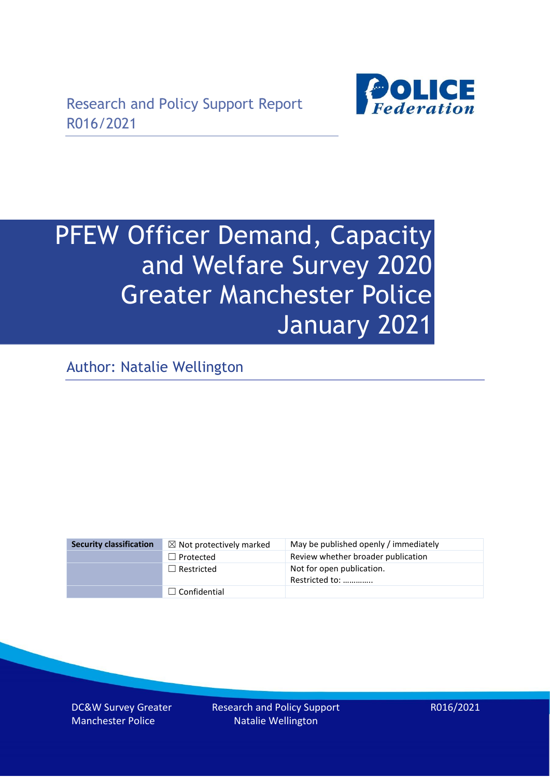

# PFEW Officer Demand, Capacity and Welfare Survey 2020 Greater Manchester Police January 2021

Author: Natalie Wellington

| <b>Security classification</b> | $\boxtimes$ Not protectively marked | May be published openly / immediately       |
|--------------------------------|-------------------------------------|---------------------------------------------|
|                                | $\Box$ Protected                    | Review whether broader publication          |
|                                | $\Box$ Restricted                   | Not for open publication.<br>Restricted to: |
|                                | $\Box$ Confidential                 |                                             |

DC&W Survey Greater Manchester Police

Research and Policy Support Natalie Wellington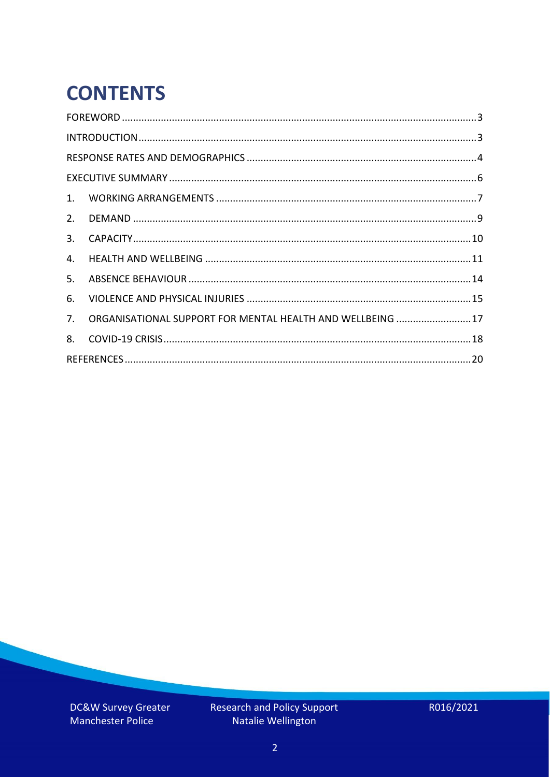# **CONTENTS**

| 2.          |                                                            |  |
|-------------|------------------------------------------------------------|--|
| 3.          |                                                            |  |
| 4.          |                                                            |  |
| 5.          |                                                            |  |
| 6.          |                                                            |  |
| $7_{\cdot}$ | ORGANISATIONAL SUPPORT FOR MENTAL HEALTH AND WELLBEING  17 |  |
| 8.          |                                                            |  |
|             |                                                            |  |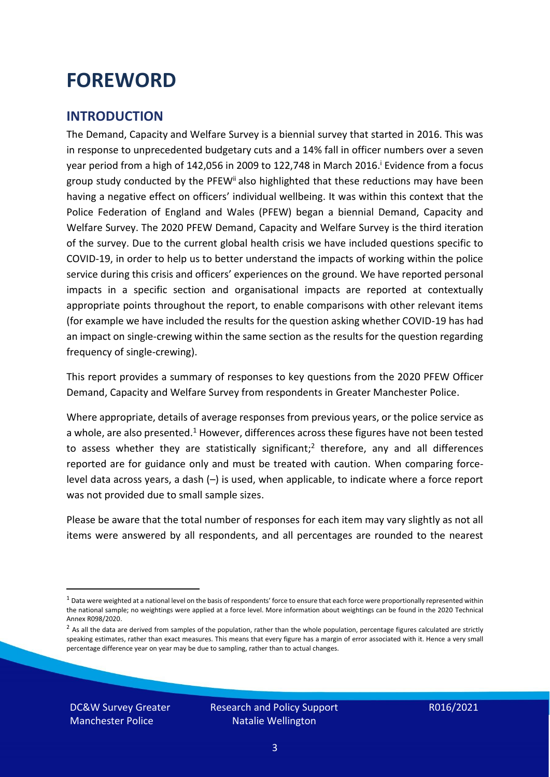### <span id="page-2-0"></span>**FOREWORD**

### <span id="page-2-1"></span>**INTRODUCTION**

The Demand, Capacity and Welfare Survey is a biennial survey that started in 2016. This was in response to unprecedented budgetary cuts and a 14% fall in officer numbers over a seven year period from a high of 142,056 in 2009 to 122,748 in March 2016. <sup>i</sup> Evidence from a focus group study conducted by the PFEW<sup>ii</sup> also highlighted that these reductions may have been having a negative effect on officers' individual wellbeing. It was within this context that the Police Federation of England and Wales (PFEW) began a biennial Demand, Capacity and Welfare Survey. The 2020 PFEW Demand, Capacity and Welfare Survey is the third iteration of the survey. Due to the current global health crisis we have included questions specific to COVID-19, in order to help us to better understand the impacts of working within the police service during this crisis and officers' experiences on the ground. We have reported personal impacts in a specific section and organisational impacts are reported at contextually appropriate points throughout the report, to enable comparisons with other relevant items (for example we have included the results for the question asking whether COVID-19 has had an impact on single-crewing within the same section as the results for the question regarding frequency of single-crewing).

This report provides a summary of responses to key questions from the 2020 PFEW Officer Demand, Capacity and Welfare Survey from respondents in Greater Manchester Police.

Where appropriate, details of average responses from previous years, or the police service as a whole, are also presented.<sup>1</sup> However, differences across these figures have not been tested to assess whether they are statistically significant;<sup>2</sup> therefore, any and all differences reported are for guidance only and must be treated with caution. When comparing forcelevel data across years, a dash (–) is used, when applicable, to indicate where a force report was not provided due to small sample sizes.

Please be aware that the total number of responses for each item may vary slightly as not all items were answered by all respondents, and all percentages are rounded to the nearest

DC&W Survey Greater Manchester Police

 $1$  Data were weighted at a national level on the basis of respondents' force to ensure that each force were proportionally represented within the national sample; no weightings were applied at a force level. More information about weightings can be found in the 2020 Technical Annex R098/2020.

 $2$  As all the data are derived from samples of the population, rather than the whole population, percentage figures calculated are strictly speaking estimates, rather than exact measures. This means that every figure has a margin of error associated with it. Hence a very small percentage difference year on year may be due to sampling, rather than to actual changes.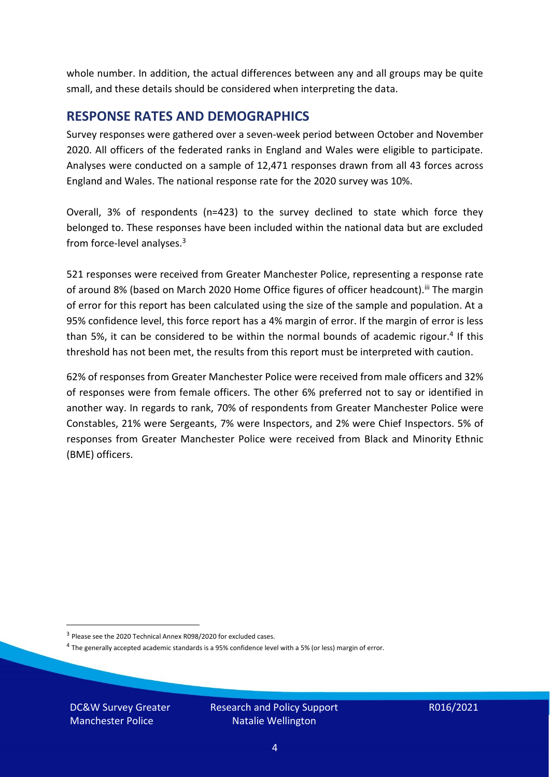whole number. In addition, the actual differences between any and all groups may be quite small, and these details should be considered when interpreting the data.

#### <span id="page-3-0"></span>**RESPONSE RATES AND DEMOGRAPHICS**

Survey responses were gathered over a seven-week period between October and November 2020. All officers of the federated ranks in England and Wales were eligible to participate. Analyses were conducted on a sample of 12,471 responses drawn from all 43 forces across England and Wales. The national response rate for the 2020 survey was 10%.

Overall, 3% of respondents (n=423) to the survey declined to state which force they belonged to. These responses have been included within the national data but are excluded from force-level analyses.<sup>3</sup>

521 responses were received from Greater Manchester Police, representing a response rate of around 8% (based on March 2020 Home Office figures of officer headcount).<sup>iii</sup> The margin of error for this report has been calculated using the size of the sample and population. At a 95% confidence level, this force report has a 4% margin of error. If the margin of error is less than 5%, it can be considered to be within the normal bounds of academic rigour.<sup>4</sup> If this threshold has not been met, the results from this report must be interpreted with caution.

62% of responses from Greater Manchester Police were received from male officers and 32% of responses were from female officers. The other 6% preferred not to say or identified in another way. In regards to rank, 70% of respondents from Greater Manchester Police were Constables, 21% were Sergeants, 7% were Inspectors, and 2% were Chief Inspectors. 5% of responses from Greater Manchester Police were received from Black and Minority Ethnic (BME) officers.

DC&W Survey Greater Manchester Police

<sup>&</sup>lt;sup>3</sup> Please see the 2020 Technical Annex R098/2020 for excluded cases.

<sup>&</sup>lt;sup>4</sup> The generally accepted academic standards is a 95% confidence level with a 5% (or less) margin of error.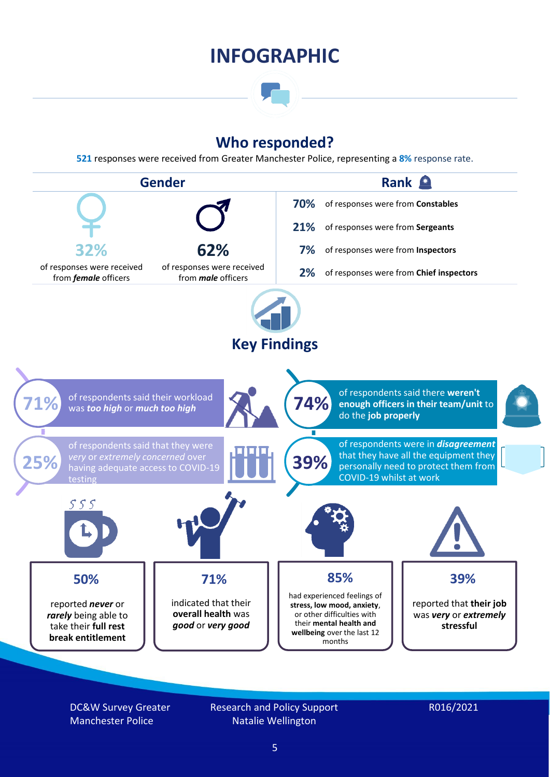### **INFOGRAPHIC**

### **Who responded?**

**521** responses were received from Greater Manchester Police, representing a **8%** response rate.



DC&W Survey Greater Manchester Police

Research and Policy Support Natalie Wellington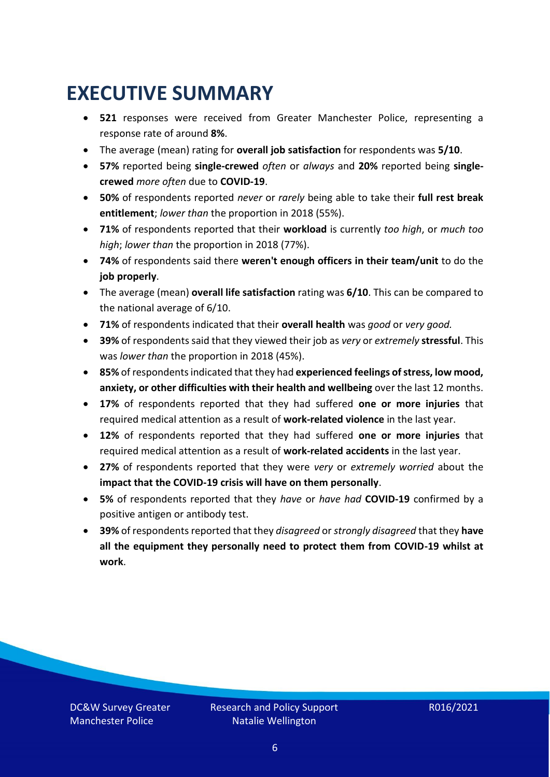### <span id="page-5-0"></span>**EXECUTIVE SUMMARY**

- **521** responses were received from Greater Manchester Police, representing a response rate of around **8%**.
- The average (mean) rating for **overall job satisfaction** for respondents was **5/10**.
- **57%** reported being **single-crewed** *often* or *always* and **20%** reported being **singlecrewed** *more often* due to **COVID-19**.
- **50%** of respondents reported *never* or *rarely* being able to take their **full rest break entitlement**; *lower than* the proportion in 2018 (55%).
- **71%** of respondents reported that their **workload** is currently *too high*, or *much too high*; *lower than* the proportion in 2018 (77%).
- **74%** of respondents said there **weren't enough officers in their team/unit** to do the **job properly**.
- The average (mean) **overall life satisfaction** rating was **6/10**. This can be compared to the national average of 6/10.
- **71%** of respondents indicated that their **overall health** was *good* or *very good.*
- **39%** of respondents said that they viewed their job as *very* or *extremely* **stressful**. This was *lower than* the proportion in 2018 (45%).
- **85%** of respondents indicated that they had **experienced feelings of stress, low mood, anxiety, or other difficulties with their health and wellbeing** over the last 12 months.
- **17%** of respondents reported that they had suffered **one or more injuries** that required medical attention as a result of **work-related violence** in the last year.
- **12%** of respondents reported that they had suffered **one or more injuries** that required medical attention as a result of **work-related accidents** in the last year.
- **27%** of respondents reported that they were *very* or *extremely worried* about the **impact that the COVID-19 crisis will have on them personally**.
- **5%** of respondents reported that they *have* or *have had* **COVID-19** confirmed by a positive antigen or antibody test.
- **39%** of respondents reported that they *disagreed* or *strongly disagreed* that they **have all the equipment they personally need to protect them from COVID-19 whilst at work**.

DC&W Survey Greater Manchester Police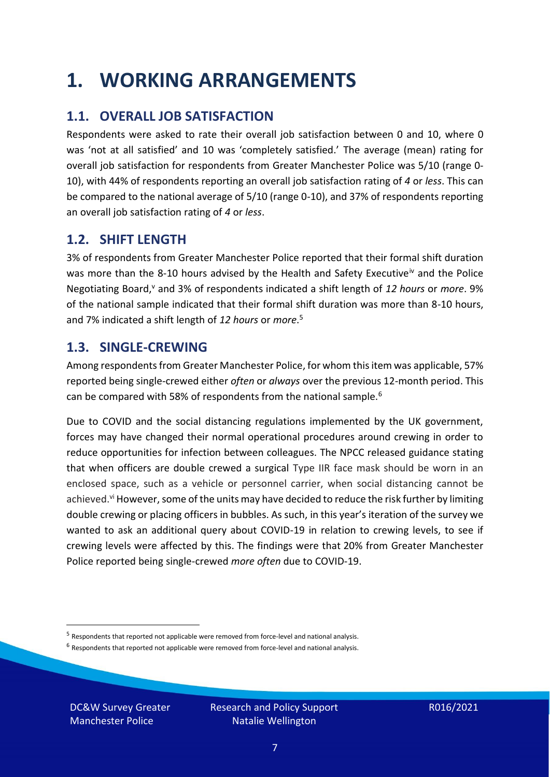### <span id="page-6-0"></span>**1. WORKING ARRANGEMENTS**

### **1.1. OVERALL JOB SATISFACTION**

Respondents were asked to rate their overall job satisfaction between 0 and 10, where 0 was 'not at all satisfied' and 10 was 'completely satisfied.' The average (mean) rating for overall job satisfaction for respondents from Greater Manchester Police was 5/10 (range 0- 10), with 44% of respondents reporting an overall job satisfaction rating of *4* or *less*. This can be compared to the national average of 5/10 (range 0-10), and 37% of respondents reporting an overall job satisfaction rating of *4* or *less*.

### **1.2. SHIFT LENGTH**

3% of respondents from Greater Manchester Police reported that their formal shift duration was more than the 8-10 hours advised by the Health and Safety Executive<sup>iv</sup> and the Police Negotiating Board,<sup>v</sup> and 3% of respondents indicated a shift length of 12 hours or more. 9% of the national sample indicated that their formal shift duration was more than 8-10 hours, and 7% indicated a shift length of *12 hours* or *more*. 5

### **1.3. SINGLE-CREWING**

Among respondents from Greater Manchester Police, for whom this item was applicable, 57% reported being single-crewed either *often* or *always* over the previous 12-month period. This can be compared with 58% of respondents from the national sample.<sup>6</sup>

Due to COVID and the social distancing regulations implemented by the UK government, forces may have changed their normal operational procedures around crewing in order to reduce opportunities for infection between colleagues. The NPCC released guidance stating that when officers are double crewed a surgical Type IIR face mask should be worn in an enclosed space, such as a vehicle or personnel carrier, when social distancing cannot be achieved.<sup>vi</sup> However, some of the units may have decided to reduce the risk further by limiting double crewing or placing officers in bubbles. As such, in this year's iteration of the survey we wanted to ask an additional query about COVID-19 in relation to crewing levels, to see if crewing levels were affected by this. The findings were that 20% from Greater Manchester Police reported being single-crewed *more often* due to COVID-19.

 $<sup>6</sup>$  Respondents that reported not applicable were removed from force-level and national analysis.</sup>

DC&W Survey Greater Manchester Police

<sup>&</sup>lt;sup>5</sup> Respondents that reported not applicable were removed from force-level and national analysis.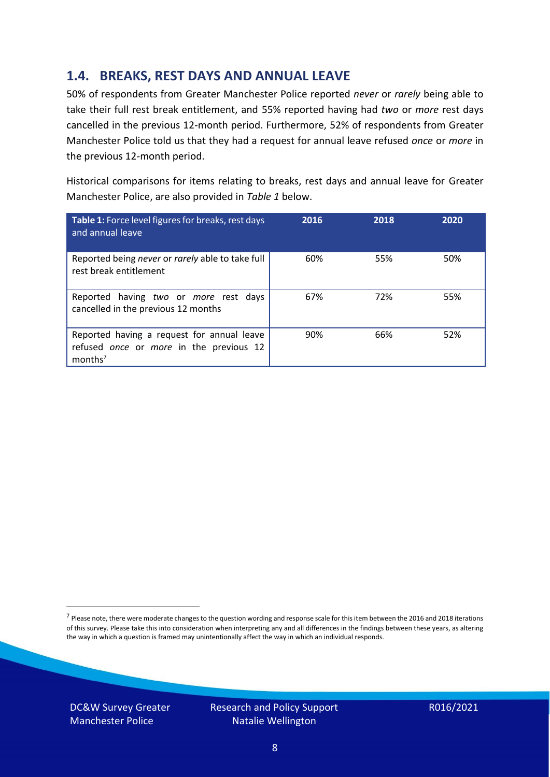### **1.4. BREAKS, REST DAYS AND ANNUAL LEAVE**

50% of respondents from Greater Manchester Police reported *never* or *rarely* being able to take their full rest break entitlement, and 55% reported having had *two* or *more* rest days cancelled in the previous 12-month period. Furthermore, 52% of respondents from Greater Manchester Police told us that they had a request for annual leave refused *once* or *more* in the previous 12-month period.

Historical comparisons for items relating to breaks, rest days and annual leave for Greater Manchester Police, are also provided in *Table 1* below.

| Table 1: Force level figures for breaks, rest days<br>and annual leave                                       | 2016 | 2018 | 2020 |
|--------------------------------------------------------------------------------------------------------------|------|------|------|
| Reported being never or rarely able to take full<br>rest break entitlement                                   | 60%  | 55%  | 50%  |
| Reported having two or more rest days<br>cancelled in the previous 12 months                                 | 67%  | 72%  | 55%  |
| Reported having a request for annual leave<br>refused once or more in the previous 12<br>months <sup>7</sup> | 90%  | 66%  | 52%  |

DC&W Survey Greater Manchester Police



<sup>&</sup>lt;sup>7</sup> Please note, there were moderate changes to the question wording and response scale for this item between the 2016 and 2018 iterations of this survey. Please take this into consideration when interpreting any and all differences in the findings between these years, as altering the way in which a question is framed may unintentionally affect the way in which an individual responds.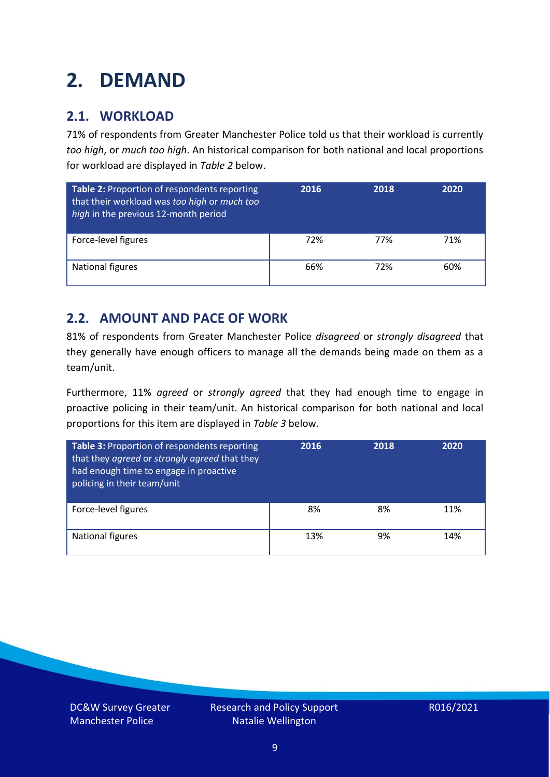### <span id="page-8-0"></span>**2. DEMAND**

### **2.1. WORKLOAD**

71% of respondents from Greater Manchester Police told us that their workload is currently *too high*, or *much too high*. An historical comparison for both national and local proportions for workload are displayed in *Table 2* below.

| Table 2: Proportion of respondents reporting<br>that their workload was too high or much too<br>high in the previous 12-month period | 2016 | 2018 | 2020 |
|--------------------------------------------------------------------------------------------------------------------------------------|------|------|------|
| Force-level figures                                                                                                                  | 72%  | 77%  | 71%  |
| National figures                                                                                                                     | 66%  | 72%  | 60%  |

### **2.2. AMOUNT AND PACE OF WORK**

81% of respondents from Greater Manchester Police *disagreed* or *strongly disagreed* that they generally have enough officers to manage all the demands being made on them as a team/unit.

Furthermore, 11% *agreed* or *strongly agreed* that they had enough time to engage in proactive policing in their team/unit. An historical comparison for both national and local proportions for this item are displayed in *Table 3* below.

| Table 3: Proportion of respondents reporting<br>that they agreed or strongly agreed that they<br>had enough time to engage in proactive<br>policing in their team/unit | 2016 | 2018 | 2020 |
|------------------------------------------------------------------------------------------------------------------------------------------------------------------------|------|------|------|
| Force-level figures                                                                                                                                                    | 8%   | 8%   | 11%  |
| National figures                                                                                                                                                       | 13%  | 9%   | 14%  |

DC&W Survey Greater Manchester Police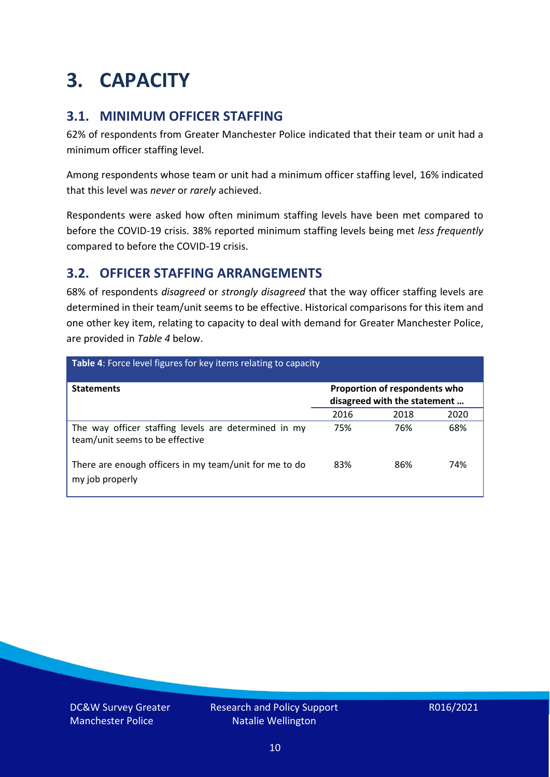### <span id="page-9-0"></span>**3. CAPACITY**

### **3.1. MINIMUM OFFICER STAFFING**

62% of respondents from Greater Manchester Police indicated that their team or unit had a minimum officer staffing level.

Among respondents whose team or unit had a minimum officer staffing level, 16% indicated that this level was *never* or *rarely* achieved.

Respondents were asked how often minimum staffing levels have been met compared to before the COVID-19 crisis. 38% reported minimum staffing levels being met *less frequently* compared to before the COVID-19 crisis.

### **3.2. OFFICER STAFFING ARRANGEMENTS**

68% of respondents *disagreed* or *strongly disagreed* that the way officer staffing levels are determined in their team/unit seems to be effective. Historical comparisons for this item and one other key item, relating to capacity to deal with demand for Greater Manchester Police, are provided in *Table 4* below.

| <b>Table 4:</b> Force level figures for key items relating to capacity                  |                                                               |      |      |
|-----------------------------------------------------------------------------------------|---------------------------------------------------------------|------|------|
| <b>Statements</b>                                                                       | Proportion of respondents who<br>disagreed with the statement |      |      |
|                                                                                         | 2016                                                          | 2018 | 2020 |
| The way officer staffing levels are determined in my<br>team/unit seems to be effective | 75%                                                           | 76%  | 68%  |
| There are enough officers in my team/unit for me to do<br>my job properly               | 83%                                                           | 86%  | 74%  |

DC&W Survey Greater Manchester Police

Research and Policy Support Natalie Wellington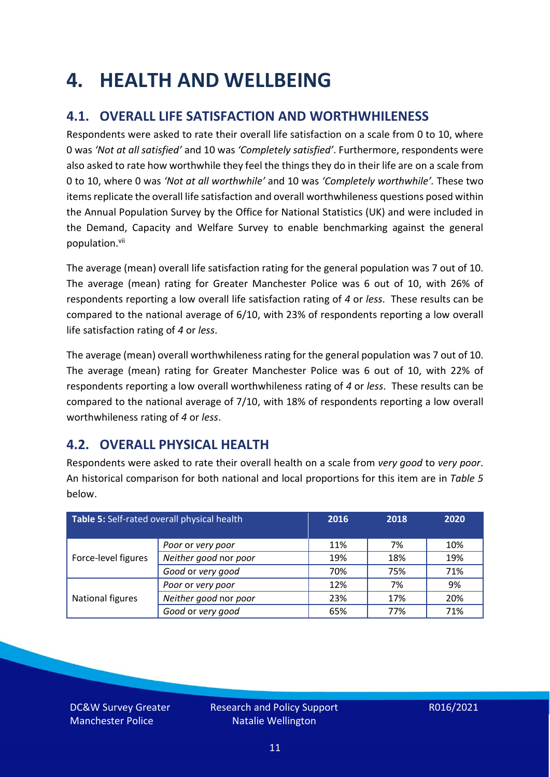### <span id="page-10-0"></span>**4. HEALTH AND WELLBEING**

### **4.1. OVERALL LIFE SATISFACTION AND WORTHWHILENESS**

Respondents were asked to rate their overall life satisfaction on a scale from 0 to 10, where 0 was *'Not at all satisfied'* and 10 was *'Completely satisfied'*. Furthermore, respondents were also asked to rate how worthwhile they feel the things they do in their life are on a scale from 0 to 10, where 0 was *'Not at all worthwhile'* and 10 was *'Completely worthwhile'.* These two items replicate the overall life satisfaction and overall worthwhileness questions posed within the Annual Population Survey by the Office for National Statistics (UK) and were included in the Demand, Capacity and Welfare Survey to enable benchmarking against the general population. vii

The average (mean) overall life satisfaction rating for the general population was 7 out of 10. The average (mean) rating for Greater Manchester Police was 6 out of 10, with 26% of respondents reporting a low overall life satisfaction rating of *4* or *less*. These results can be compared to the national average of 6/10, with 23% of respondents reporting a low overall life satisfaction rating of *4* or *less*.

The average (mean) overall worthwhileness rating for the general population was 7 out of 10. The average (mean) rating for Greater Manchester Police was 6 out of 10, with 22% of respondents reporting a low overall worthwhileness rating of *4* or *less*. These results can be compared to the national average of 7/10, with 18% of respondents reporting a low overall worthwhileness rating of *4* or *less*.

### **4.2. OVERALL PHYSICAL HEALTH**

Respondents were asked to rate their overall health on a scale from *very good* to *very poor*. An historical comparison for both national and local proportions for this item are in *Table 5* below.

| Table 5: Self-rated overall physical health |                       | 2016 | 2018 | 2020 |
|---------------------------------------------|-----------------------|------|------|------|
|                                             | Poor or very poor     | 11%  | 7%   | 10%  |
| Force-level figures                         | Neither good nor poor | 19%  | 18%  | 19%  |
|                                             | Good or very good     | 70%  | 75%  | 71%  |
|                                             | Poor or very poor     | 12%  | 7%   | 9%   |
| National figures                            | Neither good nor poor | 23%  | 17%  | 20%  |
|                                             | Good or very good     | 65%  | 77%  | 71%  |

DC&W Survey Greater Manchester Police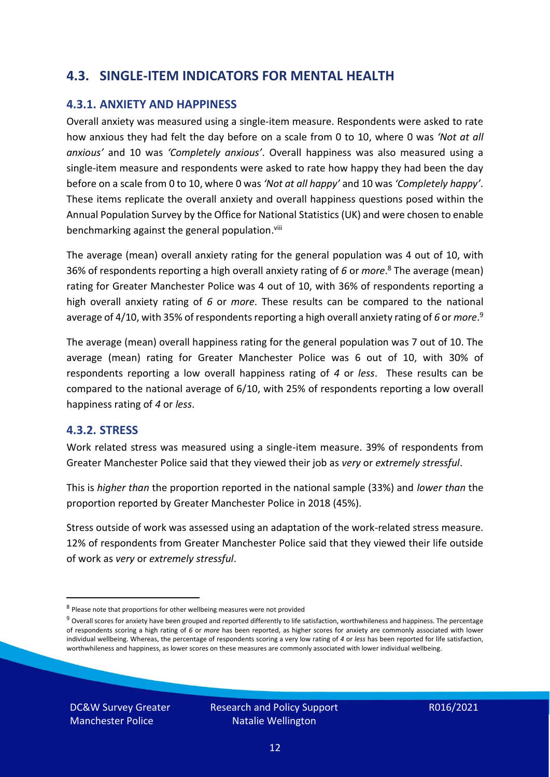### **4.3. SINGLE-ITEM INDICATORS FOR MENTAL HEALTH**

#### **4.3.1. ANXIETY AND HAPPINESS**

Overall anxiety was measured using a single-item measure. Respondents were asked to rate how anxious they had felt the day before on a scale from 0 to 10, where 0 was *'Not at all anxious'* and 10 was *'Completely anxious'*. Overall happiness was also measured using a single-item measure and respondents were asked to rate how happy they had been the day before on a scale from 0 to 10, where 0 was *'Not at all happy'* and 10 was *'Completely happy'*. These items replicate the overall anxiety and overall happiness questions posed within the Annual Population Survey by the Office for National Statistics (UK) and were chosen to enable benchmarking against the general population.<sup>viii</sup>

The average (mean) overall anxiety rating for the general population was 4 out of 10, with 36% of respondents reporting a high overall anxiety rating of *6* or *more*. <sup>8</sup> The average (mean) rating for Greater Manchester Police was 4 out of 10, with 36% of respondents reporting a high overall anxiety rating of *6* or *more*. These results can be compared to the national average of 4/10, with 35% of respondents reporting a high overall anxiety rating of 6 or *more*.<sup>9</sup>

The average (mean) overall happiness rating for the general population was 7 out of 10. The average (mean) rating for Greater Manchester Police was 6 out of 10, with 30% of respondents reporting a low overall happiness rating of *4* or *less*. These results can be compared to the national average of 6/10, with 25% of respondents reporting a low overall happiness rating of *4* or *less*.

#### **4.3.2. STRESS**

Work related stress was measured using a single-item measure. 39% of respondents from Greater Manchester Police said that they viewed their job as *very* or *extremely stressful*.

This is *higher than* the proportion reported in the national sample (33%) and *lower than* the proportion reported by Greater Manchester Police in 2018 (45%).

Stress outside of work was assessed using an adaptation of the work-related stress measure. 12% of respondents from Greater Manchester Police said that they viewed their life outside of work as *very* or *extremely stressful*.

DC&W Survey Greater Manchester Police

<sup>&</sup>lt;sup>8</sup> Please note that proportions for other wellbeing measures were not provided

 $9$  Overall scores for anxiety have been grouped and reported differently to life satisfaction, worthwhileness and happiness. The percentage of respondents scoring a high rating of *6* or *more* has been reported, as higher scores for anxiety are commonly associated with lower individual wellbeing. Whereas, the percentage of respondents scoring a very low rating of *4* or *less* has been reported for life satisfaction, worthwhileness and happiness, as lower scores on these measures are commonly associated with lower individual wellbeing.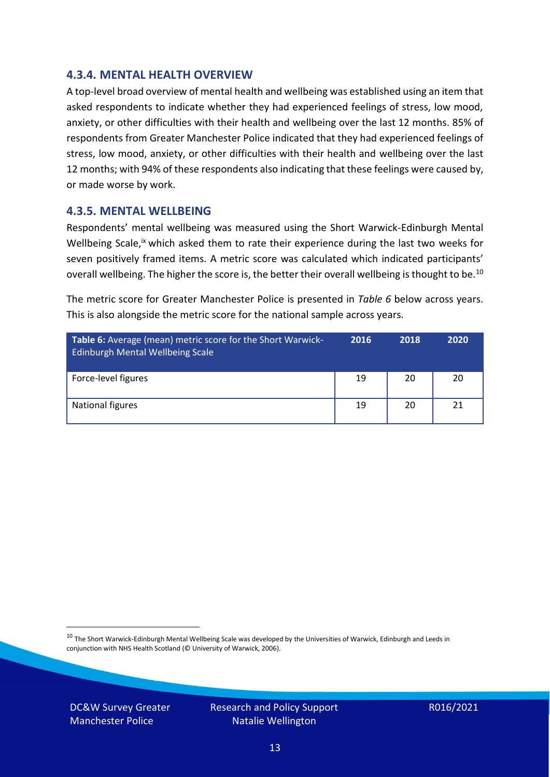#### **4.3.4. MENTAL HEALTH OVERVIEW**

A top-level broad overview of mental health and wellbeing was established using an item that asked respondents to indicate whether they had experienced feelings of stress, low mood, anxiety, or other difficulties with their health and wellbeing over the last 12 months. 85% of respondents from Greater Manchester Police indicated that they had experienced feelings of stress, low mood, anxiety, or other difficulties with their health and wellbeing over the last 12 months; with 94% of these respondents also indicating that these feelings were caused by, or made worse by work.

#### **4.3.5. MENTAL WELLBEING**

Respondents' mental wellbeing was measured using the Short Warwick-Edinburgh Mental Wellbeing Scale,<sup>ix</sup> which asked them to rate their experience during the last two weeks for seven positively framed items. A metric score was calculated which indicated participants' overall wellbeing. The higher the score is, the better their overall wellbeing is thought to be.<sup>10</sup>

The metric score for Greater Manchester Police is presented in *Table 6* below across years. This is also alongside the metric score for the national sample across years.

| <b>Table 6:</b> Average (mean) metric score for the Short Warwick-<br>Edinburgh Mental Wellbeing Scale | 2016 | 2018 | 2020 |
|--------------------------------------------------------------------------------------------------------|------|------|------|
| Force-level figures                                                                                    | 19   | 20   | 20   |
| National figures                                                                                       | 19   | 20   | 21   |

 $10$  The Short Warwick-Edinburgh Mental Wellbeing Scale was developed by the Universities of Warwick, Edinburgh and Leeds in conjunction with NHS Health Scotland (© University of Warwick, 2006).

DC&W Survey Greater Manchester Police

Research and Policy Support Natalie Wellington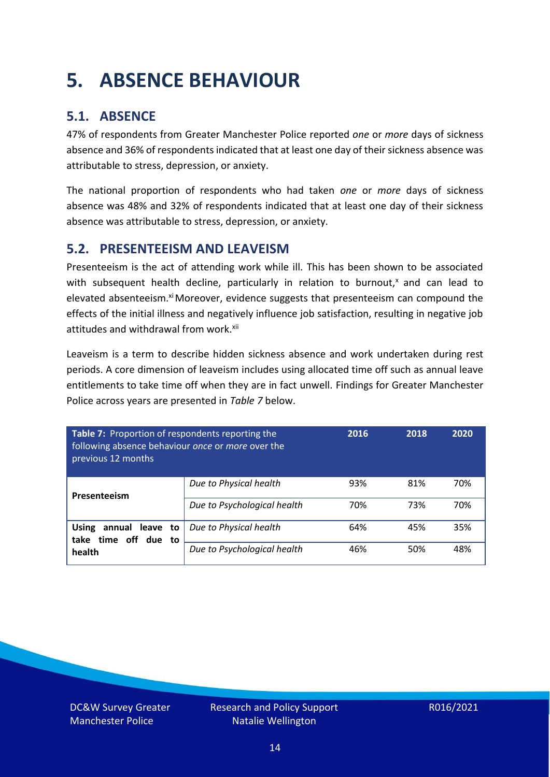### <span id="page-13-0"></span>**5. ABSENCE BEHAVIOUR**

### **5.1. ABSENCE**

47% of respondents from Greater Manchester Police reported *one* or *more* days of sickness absence and 36% of respondents indicated that at least one day of their sickness absence was attributable to stress, depression, or anxiety.

The national proportion of respondents who had taken *one* or *more* days of sickness absence was 48% and 32% of respondents indicated that at least one day of their sickness absence was attributable to stress, depression, or anxiety.

### **5.2. PRESENTEEISM AND LEAVEISM**

Presenteeism is the act of attending work while ill. This has been shown to be associated with subsequent health decline, particularly in relation to burnout, $x$  and can lead to elevated absenteeism.<sup>xi</sup> Moreover, evidence suggests that presenteeism can compound the effects of the initial illness and negatively influence job satisfaction, resulting in negative job attitudes and withdrawal from work.<sup>xii</sup>

Leaveism is a term to describe hidden sickness absence and work undertaken during rest periods. A core dimension of leaveism includes using allocated time off such as annual leave entitlements to take time off when they are in fact unwell. Findings for Greater Manchester Police across years are presented in *Table 7* below.

| Table 7: Proportion of respondents reporting the<br>following absence behaviour once or more over the<br>previous 12 months |                             | 2016 | 2018 | 2020 |
|-----------------------------------------------------------------------------------------------------------------------------|-----------------------------|------|------|------|
| Presenteeism                                                                                                                | Due to Physical health      | 93%  | 81%  | 70%  |
|                                                                                                                             | Due to Psychological health | 70%  | 73%  | 70%  |
| <b>Using</b><br>annual leave to<br>time off due to<br>take<br>health                                                        | Due to Physical health      | 64%  | 45%  | 35%  |
|                                                                                                                             | Due to Psychological health | 46%  | 50%  | 48%  |

DC&W Survey Greater Manchester Police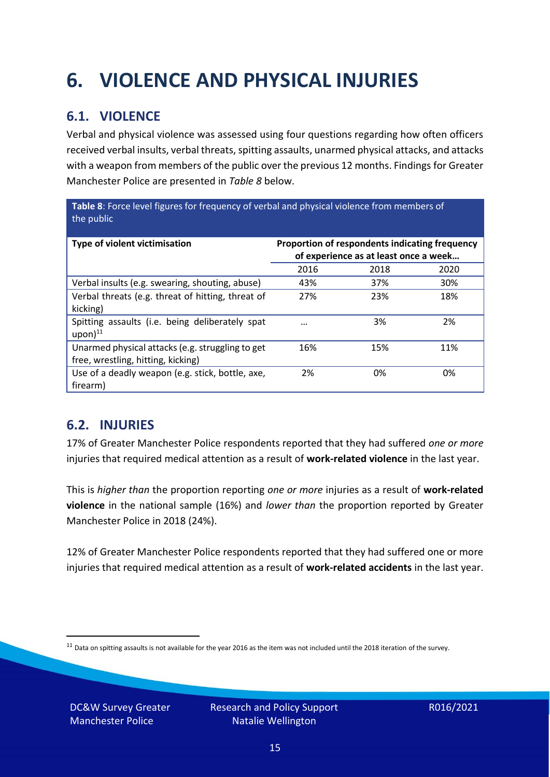## <span id="page-14-0"></span>**6. VIOLENCE AND PHYSICAL INJURIES**

### **6.1. VIOLENCE**

Verbal and physical violence was assessed using four questions regarding how often officers received verbal insults, verbal threats, spitting assaults, unarmed physical attacks, and attacks with a weapon from members of the public over the previous 12 months. Findings for Greater Manchester Police are presented in *Table 8* below.

**Table 8**: Force level figures for frequency of verbal and physical violence from members of the public

| Type of violent victimisation                                                          | Proportion of respondents indicating frequency<br>of experience as at least once a week |      |      |
|----------------------------------------------------------------------------------------|-----------------------------------------------------------------------------------------|------|------|
|                                                                                        | 2016                                                                                    | 2018 | 2020 |
| Verbal insults (e.g. swearing, shouting, abuse)                                        | 43%                                                                                     | 37%  | 30%  |
| Verbal threats (e.g. threat of hitting, threat of<br>kicking)                          | 27%                                                                                     | 23%  | 18%  |
| Spitting assaults (i.e. being deliberately spat<br>$upon)$ <sup>11</sup>               | $\cdots$                                                                                | 3%   | 2%   |
| Unarmed physical attacks (e.g. struggling to get<br>free, wrestling, hitting, kicking) | 16%                                                                                     | 15%  | 11%  |
| Use of a deadly weapon (e.g. stick, bottle, axe,<br>firearm)                           | 2%                                                                                      | 0%   | 0%   |

### **6.2. INJURIES**

17% of Greater Manchester Police respondents reported that they had suffered *one or more* injuries that required medical attention as a result of **work-related violence** in the last year.

This is *higher than* the proportion reporting *one or more* injuries as a result of **work-related violence** in the national sample (16%) and *lower than* the proportion reported by Greater Manchester Police in 2018 (24%).

12% of Greater Manchester Police respondents reported that they had suffered one or more injuries that required medical attention as a result of **work-related accidents** in the last year.

DC&W Survey Greater Manchester Police

 $11$  Data on spitting assaults is not available for the year 2016 as the item was not included until the 2018 iteration of the survey.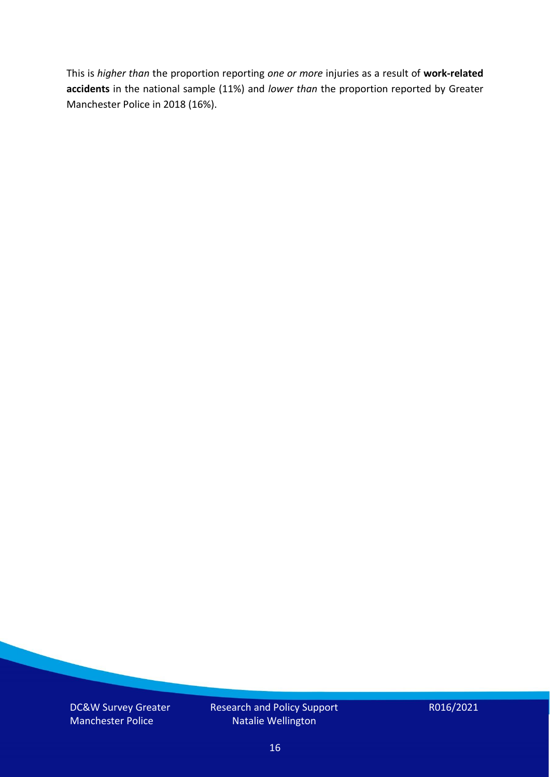This is *higher than* the proportion reporting *one or more* injuries as a result of **work-related accidents** in the national sample (11%) and *lower than* the proportion reported by Greater Manchester Police in 2018 (16%).

DC&W Survey Greater Manchester Police

Research and Policy Support Natalie Wellington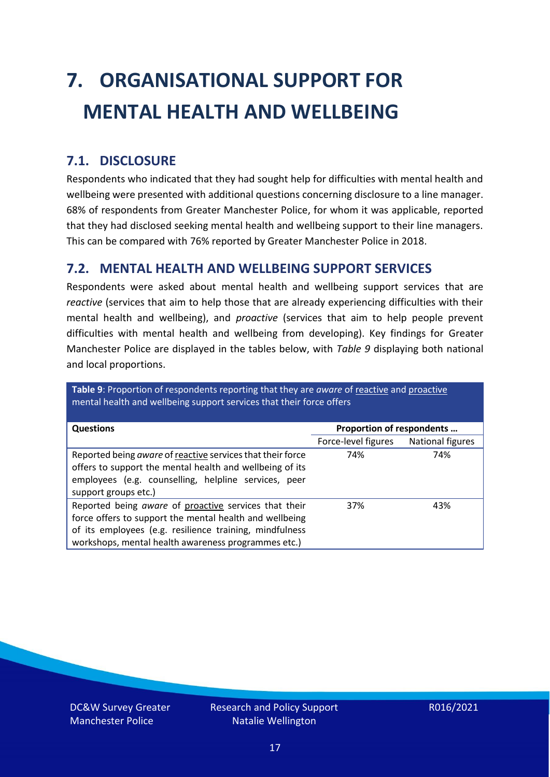# <span id="page-16-0"></span>**7. ORGANISATIONAL SUPPORT FOR MENTAL HEALTH AND WELLBEING**

### **7.1. DISCLOSURE**

Respondents who indicated that they had sought help for difficulties with mental health and wellbeing were presented with additional questions concerning disclosure to a line manager. 68% of respondents from Greater Manchester Police, for whom it was applicable, reported that they had disclosed seeking mental health and wellbeing support to their line managers. This can be compared with 76% reported by Greater Manchester Police in 2018.

#### **7.2. MENTAL HEALTH AND WELLBEING SUPPORT SERVICES**

Respondents were asked about mental health and wellbeing support services that are *reactive* (services that aim to help those that are already experiencing difficulties with their mental health and wellbeing), and *proactive* (services that aim to help people prevent difficulties with mental health and wellbeing from developing). Key findings for Greater Manchester Police are displayed in the tables below, with *Table 9* displaying both national and local proportions.

**Table 9**: Proportion of respondents reporting that they are *aware* of reactive and proactive mental health and wellbeing support services that their force offers

| <b>Questions</b>                                                                                                                                                                                                                   | Proportion of respondents |                  |
|------------------------------------------------------------------------------------------------------------------------------------------------------------------------------------------------------------------------------------|---------------------------|------------------|
|                                                                                                                                                                                                                                    | Force-level figures       | National figures |
| Reported being aware of reactive services that their force<br>offers to support the mental health and wellbeing of its<br>employees (e.g. counselling, helpline services, peer<br>support groups etc.)                             | 74%                       | 74%              |
| Reported being aware of proactive services that their<br>force offers to support the mental health and wellbeing<br>of its employees (e.g. resilience training, mindfulness<br>workshops, mental health awareness programmes etc.) | 37%                       | 43%              |

DC&W Survey Greater Manchester Police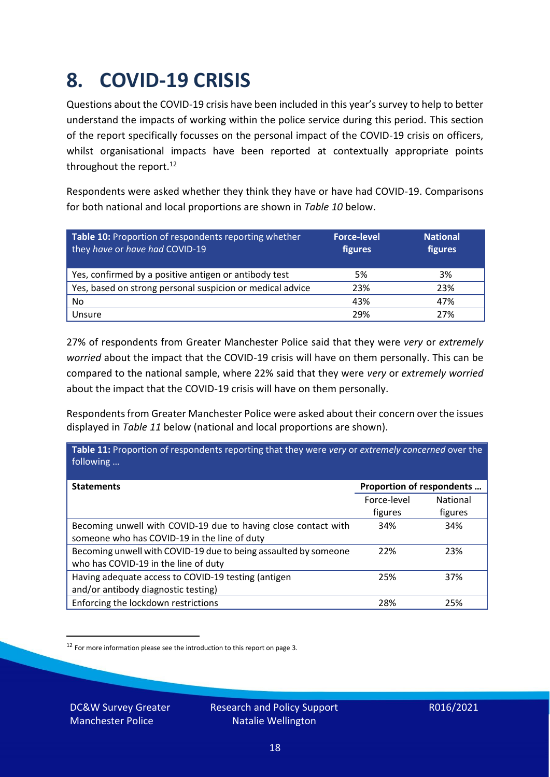### <span id="page-17-0"></span>**8. COVID-19 CRISIS**

Questions about the COVID-19 crisis have been included in this year's survey to help to better understand the impacts of working within the police service during this period. This section of the report specifically focusses on the personal impact of the COVID-19 crisis on officers, whilst organisational impacts have been reported at contextually appropriate points throughout the report.<sup>12</sup>

Respondents were asked whether they think they have or have had COVID-19. Comparisons for both national and local proportions are shown in *Table 10* below.

| Table 10: Proportion of respondents reporting whether<br>they have or have had COVID-19 | <b>Force-level</b><br>figures | <b>National</b><br>figures |
|-----------------------------------------------------------------------------------------|-------------------------------|----------------------------|
| Yes, confirmed by a positive antigen or antibody test                                   | 5%                            | 3%                         |
| Yes, based on strong personal suspicion or medical advice                               | 23%                           | 23%                        |
| No                                                                                      | 43%                           | 47%                        |
| Unsure                                                                                  | 29%                           | 27%                        |

27% of respondents from Greater Manchester Police said that they were *very* or *extremely worried* about the impact that the COVID-19 crisis will have on them personally. This can be compared to the national sample, where 22% said that they were *very* or *extremely worried* about the impact that the COVID-19 crisis will have on them personally.

Respondents from Greater Manchester Police were asked about their concern over the issues displayed in *Table 11* below (national and local proportions are shown).

| Table 11: Proportion of respondents reporting that they were very or extremely concerned over the<br>following |                           |                            |
|----------------------------------------------------------------------------------------------------------------|---------------------------|----------------------------|
| <b>Statements</b>                                                                                              | Proportion of respondents |                            |
|                                                                                                                | Force-level<br>figures    | <b>National</b><br>figures |
| Becoming unwell with COVID-19 due to having close contact with<br>someone who has COVID-19 in the line of duty | 34%                       | 34%                        |
| Becoming unwell with COVID-19 due to being assaulted by someone<br>who has COVID-19 in the line of duty        | 22%                       | 23%                        |
| Having adequate access to COVID-19 testing (antigen<br>and/or antibody diagnostic testing)                     | 25%                       | 37%                        |
| Enforcing the lockdown restrictions                                                                            | 28%                       | 25%                        |

<sup>12</sup> For more information please see the introduction to this report on page 3.

DC&W Survey Greater Manchester Police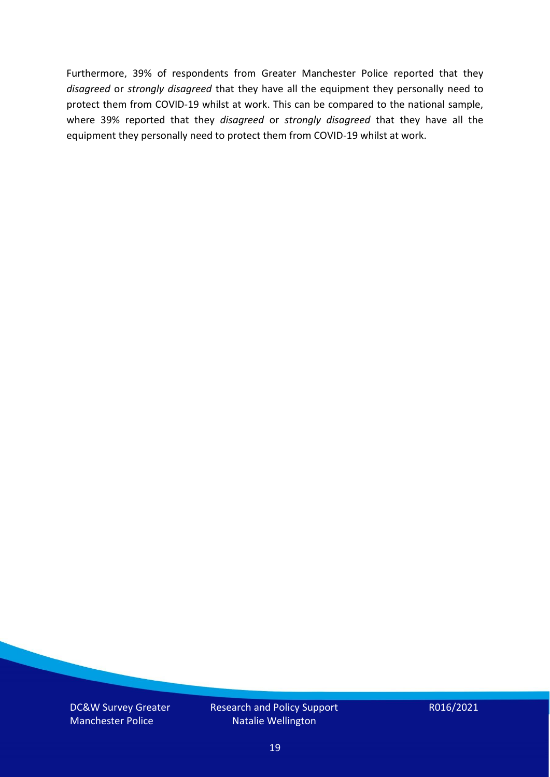Furthermore, 39% of respondents from Greater Manchester Police reported that they *disagreed* or *strongly disagreed* that they have all the equipment they personally need to protect them from COVID-19 whilst at work. This can be compared to the national sample, where 39% reported that they *disagreed* or *strongly disagreed* that they have all the equipment they personally need to protect them from COVID-19 whilst at work.

DC&W Survey Greater Manchester Police

Research and Policy Support Natalie Wellington